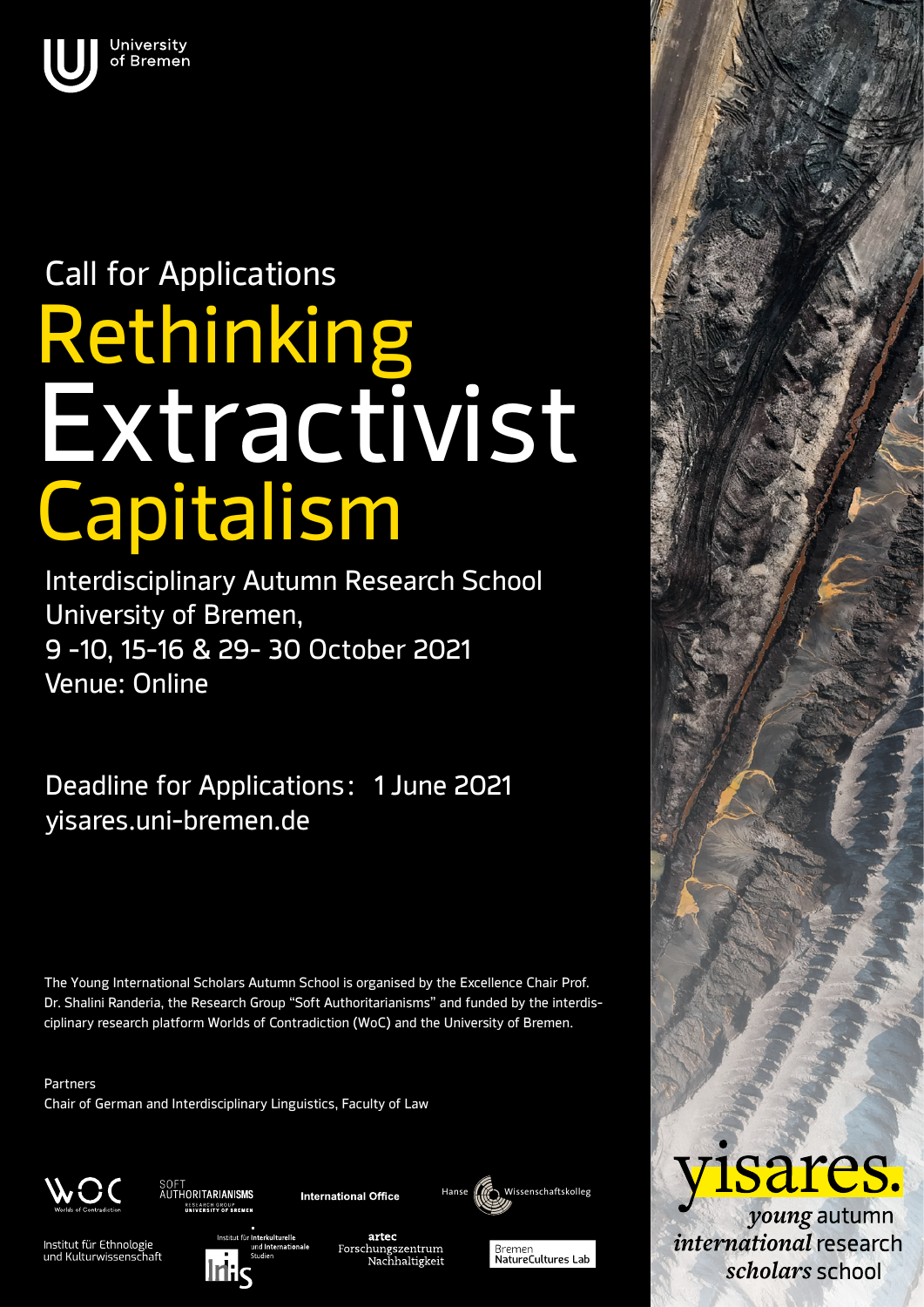

## Rethinking Capitalism Call for Applications Extractivist

Interdisciplinary Autumn Research School University of Bremen, 9 -10, 15-16 & 29- 30 October 2021 Venue: Online

Deadline for Applications: 1 June 2021 yisares.uni-bremen.de

The Young International Scholars Autumn School is organised by the Excellence Chair Prof. Dr. Shalini Randeria, the Research Group "Soft Authoritarianisms" and funded by the interdisciplinary research platform Worlds of Contradiction (WoC) and the University of Bremen.

Partners Chair of German and Interdisciplinary Linguistics, Faculty of Law



SOFT<br>AUTHORITAR**IANISMS** ESEARCH GROUP<br>NUMERO ITY OF REFUEN

**International Office** 

Wissenschaftskolleg



artec Forschungszentrum<br>Nachhaltigkeit





*voung* autumn international research scholars school